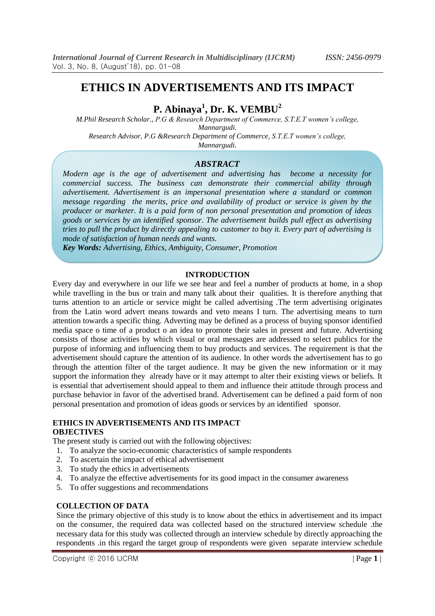# **ETHICS IN ADVERTISEMENTS AND ITS IMPACT**

**P. Abinaya<sup>1</sup> , Dr. K. VEMBU<sup>2</sup>**

*M.Phil Research Scholar., P.G & Research Department of Commerce, S.T.E.T women's college, Mannargudi. Research Advisor, P.G &Research Department of Commerce, S.T.E.T women's college,*

*Mannargudi.*

# *ABSTRACT*

*Modern age is the age of advertisement and advertising has become a necessity for commercial success. The business can demonstrate their commercial ability through advertisement. Advertisement is an impersonal presentation where a standard or common message regarding the merits, price and availability of product or service is given by the producer or marketer. It is a paid form of non personal presentation and promotion of ideas goods or services by an identified sponsor. The advertisement builds pull effect as advertising tries to pull the product by directly appealing to customer to buy it. Every part of advertising is mode of satisfaction of human needs and wants.*

*Key Words: Advertising, Ethics, Ambiguity, Consumer, Promotion*

### **INTRODUCTION**

Every day and everywhere in our life we see hear and feel a number of products at home, in a shop while travelling in the bus or train and many talk about their qualities. It is therefore anything that turns attention to an article or service might be called advertising .The term advertising originates from the Latin word advert means towards and veto means I turn. The advertising means to turn attention towards a specific thing. Adverting may be defined as a process of buying sponsor identified media space o time of a product o an idea to promote their sales in present and future. Advertising consists of those activities by which visual or oral messages are addressed to select publics for the purpose of informing and influencing them to buy products and services. The requirement is that the advertisement should capture the attention of its audience. In other words the advertisement has to go through the attention filter of the target audience. It may be given the new information or it may support the information they already have or it may attempt to alter their existing views or beliefs. It is essential that advertisement should appeal to them and influence their attitude through process and purchase behavior in favor of the advertised brand. Advertisement can be defined a paid form of non personal presentation and promotion of ideas goods or services by an identified sponsor.

#### **ETHICS IN ADVERTISEMENTS AND ITS IMPACT OBJECTIVES**

The present study is carried out with the following objectives:

- 1. To analyze the socio-economic characteristics of sample respondents
- 2. To ascertain the impact of ethical advertisement
- 3. To study the ethics in advertisements
- 4. To analyze the effective advertisements for its good impact in the consumer awareness
- 5. To offer suggestions and recommendations

#### **COLLECTION OF DATA**

Since the primary objective of this study is to know about the ethics in advertisement and its impact on the consumer, the required data was collected based on the structured interview schedule .the necessary data for this study was collected through an interview schedule by directly approaching the respondents .in this regard the target group of respondents were given separate interview schedule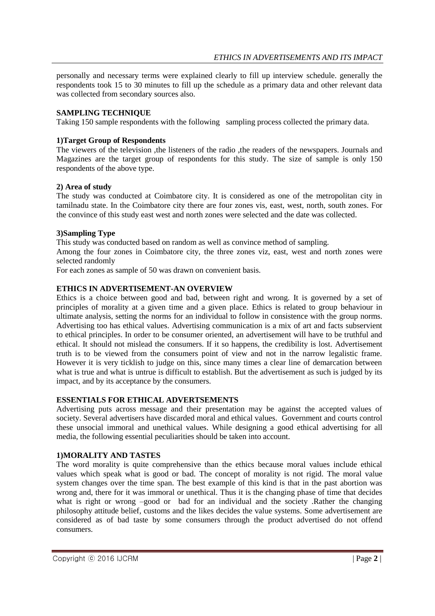personally and necessary terms were explained clearly to fill up interview schedule. generally the respondents took 15 to 30 minutes to fill up the schedule as a primary data and other relevant data was collected from secondary sources also.

### **SAMPLING TECHNIQUE**

Taking 150 sample respondents with the following sampling process collected the primary data.

### **1)Target Group of Respondents**

The viewers of the television ,the listeners of the radio ,the readers of the newspapers. Journals and Magazines are the target group of respondents for this study. The size of sample is only 150 respondents of the above type.

### **2) Area of study**

The study was conducted at Coimbatore city. It is considered as one of the metropolitan city in tamilnadu state. In the Coimbatore city there are four zones vis, east, west, north, south zones. For the convince of this study east west and north zones were selected and the date was collected.

### **3)Sampling Type**

This study was conducted based on random as well as convince method of sampling.

Among the four zones in Coimbatore city, the three zones viz, east, west and north zones were selected randomly

For each zones as sample of 50 was drawn on convenient basis.

# **ETHICS IN ADVERTISEMENT-AN OVERVIEW**

Ethics is a choice between good and bad, between right and wrong. It is governed by a set of principles of morality at a given time and a given place. Ethics is related to group behaviour in ultimate analysis, setting the norms for an individual to follow in consistence with the group norms. Advertising too has ethical values. Advertising communication is a mix of art and facts subservient to ethical principles. In order to be consumer oriented, an advertisement will have to be truthful and ethical. It should not mislead the consumers. If it so happens, the credibility is lost. Advertisement truth is to be viewed from the consumers point of view and not in the narrow legalistic frame. However it is very ticklish to judge on this, since many times a clear line of demarcation between what is true and what is untrue is difficult to establish. But the advertisement as such is judged by its impact, and by its acceptance by the consumers.

# **ESSENTIALS FOR ETHICAL ADVERTSEMENTS**

Advertising puts across message and their presentation may be against the accepted values of society. Several advertisers have discarded moral and ethical values. Government and courts control these unsocial immoral and unethical values. While designing a good ethical advertising for all media, the following essential peculiarities should be taken into account.

# **1)MORALITY AND TASTES**

The word morality is quite comprehensive than the ethics because moral values include ethical values which speak what is good or bad. The concept of morality is not rigid. The moral value system changes over the time span. The best example of this kind is that in the past abortion was wrong and, there for it was immoral or unethical. Thus it is the changing phase of time that decides what is right or wrong –good or bad for an individual and the society .Rather the changing philosophy attitude belief, customs and the likes decides the value systems. Some advertisement are considered as of bad taste by some consumers through the product advertised do not offend consumers.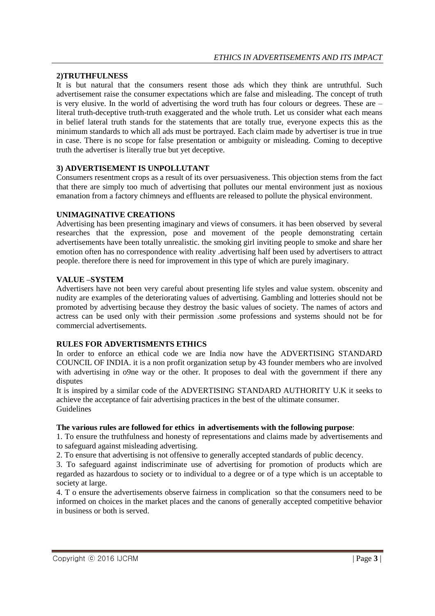# **2)TRUTHFULNESS**

It is but natural that the consumers resent those ads which they think are untruthful. Such advertisement raise the consumer expectations which are false and misleading. The concept of truth is very elusive. In the world of advertising the word truth has four colours or degrees. These are – literal truth-deceptive truth-truth exaggerated and the whole truth. Let us consider what each means in belief lateral truth stands for the statements that are totally true, everyone expects this as the minimum standards to which all ads must be portrayed. Each claim made by advertiser is true in true in case. There is no scope for false presentation or ambiguity or misleading. Coming to deceptive truth the advertiser is literally true but yet deceptive.

### **3) ADVERTISEMENT IS UNPOLLUTANT**

Consumers resentment crops as a result of its over persuasiveness. This objection stems from the fact that there are simply too much of advertising that pollutes our mental environment just as noxious emanation from a factory chimneys and effluents are released to pollute the physical environment.

### **UNIMAGINATIVE CREATIONS**

Advertising has been presenting imaginary and views of consumers. it has been observed by several researches that the expression, pose and movement of the people demonstrating certain advertisements have been totally unrealistic. the smoking girl inviting people to smoke and share her emotion often has no correspondence with reality .advertising half been used by advertisers to attract people. therefore there is need for improvement in this type of which are purely imaginary.

### **VALUE –SYSTEM**

Advertisers have not been very careful about presenting life styles and value system. obscenity and nudity are examples of the deteriorating values of advertising. Gambling and lotteries should not be promoted by advertising because they destroy the basic values of society. The names of actors and actress can be used only with their permission .some professions and systems should not be for commercial advertisements.

# **RULES FOR ADVERTISMENTS ETHICS**

In order to enforce an ethical code we are India now have the ADVERTISING STANDARD COUNCIL OF INDIA. it is a non profit organization setup by 43 founder members who are involved with advertising in o9ne way or the other. It proposes to deal with the government if there any disputes

It is inspired by a similar code of the ADVERTISING STANDARD AUTHORITY U.K it seeks to achieve the acceptance of fair advertising practices in the best of the ultimate consumer. **Guidelines** 

#### **The various rules are followed for ethics in advertisements with the following purpose**:

1. To ensure the truthfulness and honesty of representations and claims made by advertisements and to safeguard against misleading advertising.

2. To ensure that advertising is not offensive to generally accepted standards of public decency.

3. To safeguard against indiscriminate use of advertising for promotion of products which are regarded as hazardous to society or to individual to a degree or of a type which is un acceptable to society at large.

4. T o ensure the advertisements observe fairness in complication so that the consumers need to be informed on choices in the market places and the canons of generally accepted competitive behavior in business or both is served.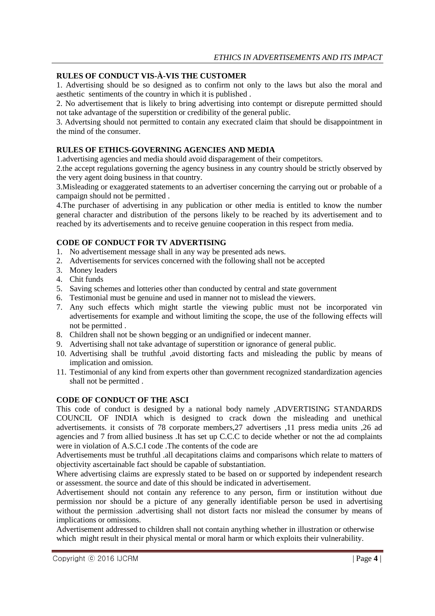# **RULES OF CONDUCT VIS-À-VIS THE CUSTOMER**

1. Advertising should be so designed as to confirm not only to the laws but also the moral and aesthetic sentiments of the country in which it is published .

2. No advertisement that is likely to bring advertising into contempt or disrepute permitted should not take advantage of the superstition or credibility of the general public.

3. Advertsing should not permitted to contain any execrated claim that should be disappointment in the mind of the consumer.

# **RULES OF ETHICS-GOVERNING AGENCIES AND MEDIA**

1.advertising agencies and media should avoid disparagement of their competitors.

2.the accept regulations governing the agency business in any country should be strictly observed by the very agent doing business in that country.

3.Misleading or exaggerated statements to an advertiser concerning the carrying out or probable of a campaign should not be permitted .

4.The purchaser of advertising in any publication or other media is entitled to know the number general character and distribution of the persons likely to be reached by its advertisement and to reached by its advertisements and to receive genuine cooperation in this respect from media.

# **CODE OF CONDUCT FOR TV ADVERTISING**

- 1. No advertisement message shall in any way be presented ads news.
- 2. Advertisements for services concerned with the following shall not be accepted
- 3. Money leaders
- 4. Chit funds
- 5. Saving schemes and lotteries other than conducted by central and state government
- 6. Testimonial must be genuine and used in manner not to mislead the viewers.
- 7. Any such effects which might startle the viewing public must not be incorporated vin advertisements for example and without limiting the scope, the use of the following effects will not be permitted .
- 8. Children shall not be shown begging or an undignified or indecent manner.
- 9. Advertising shall not take advantage of superstition or ignorance of general public.
- 10. Advertising shall be truthful ,avoid distorting facts and misleading the public by means of implication and omission.
- 11. Testimonial of any kind from experts other than government recognized standardization agencies shall not be permitted .

# **CODE OF CONDUCT OF THE ASCI**

This code of conduct is designed by a national body namely ,ADVERTISING STANDARDS COUNCIL OF INDIA which is designed to crack down the misleading and unethical advertisements. it consists of 78 corporate members,27 advertisers ,11 press media units ,26 ad agencies and 7 from allied business .It has set up C.C.C to decide whether or not the ad complaints were in violation of A.S.C.I code .The contents of the code are

Advertisements must be truthful .all decapitations claims and comparisons which relate to matters of objectivity ascertainable fact should be capable of substantiation.

Where advertising claims are expressly stated to be based on or supported by independent research or assessment. the source and date of this should be indicated in advertisement.

Advertisement should not contain any reference to any person, firm or institution without due permission nor should be a picture of any generally identifiable person be used in advertising without the permission .advertising shall not distort facts nor mislead the consumer by means of implications or omissions.

Advertisement addressed to children shall not contain anything whether in illustration or otherwise which might result in their physical mental or moral harm or which exploits their vulnerability.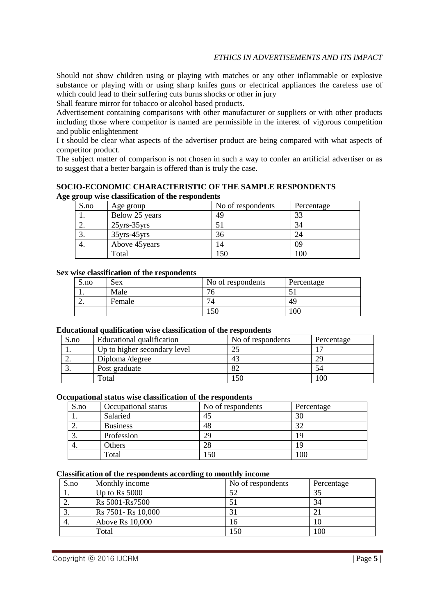Should not show children using or playing with matches or any other inflammable or explosive substance or playing with or using sharp knifes guns or electrical appliances the careless use of which could lead to their suffering cuts burns shocks or other in jury

Shall feature mirror for tobacco or alcohol based products.

Advertisement containing comparisons with other manufacturer or suppliers or with other products including those where competitor is named are permissible in the interest of vigorous competition and public enlightenment

I t should be clear what aspects of the advertiser product are being compared with what aspects of competitor product.

The subject matter of comparison is not chosen in such a way to confer an artificial advertiser or as to suggest that a better bargain is offered than is truly the case.

**SOCIO-ECONOMIC CHARACTERISTIC OF THE SAMPLE RESPONDENTS Age group wise classification of the respondents**

| S.no | Age group          | No of respondents | Percentage |
|------|--------------------|-------------------|------------|
| ı.   | Below 25 years     | 49                | 33         |
| ـ.   | $25$ yrs- $35$ yrs |                   | 34         |
| Ć.   | $35$ yrs- $45$ yrs | 36                | 24         |
| 4.   | Above 45 years     | 4،                | 09         |
|      | Total              | .50               | 100        |

#### **Sex wise classification of the respondents**

| S.no | Sex    | No of respondents | Percentage |
|------|--------|-------------------|------------|
| . .  | Male   | $\sim$<br>O       | - '        |
| ∼.   | Female |                   | 49         |
|      |        | l 50              | $100\,$    |

#### **Educational qualification wise classification of the respondents**

| S.no | Educational qualification    | No of respondents | Percentage |
|------|------------------------------|-------------------|------------|
|      | Up to higher secondary level |                   |            |
| ۷.   | Diploma / degree             | 43                | 29         |
| J.   | Post graduate                |                   | 54         |
|      | Total                        | 50                | 00         |

#### **Occupational status wise classification of the respondents**

| S.no     | Occupational status | No of respondents | Percentage |
|----------|---------------------|-------------------|------------|
| . .      | Salaried            | 45                | 30         |
| <u>.</u> | <b>Business</b>     | 48                | 32         |
| J.       | Profession          | 29                | 19         |
| 4.       | Others              | 28                | Q          |
|          | Total               | 50                | 100        |

#### **Classification of the respondents according to monthly income**

| S.no | Monthly income      | No of respondents | Percentage |
|------|---------------------|-------------------|------------|
| ı.   | Up to Rs $5000$     | 52                | 35         |
| ۷.   | Rs 5001-Rs7500      |                   | 34         |
| J.   | Rs 7501 - Rs 10,000 |                   |            |
| 4.   | Above Rs 10,000     | 16                | 10         |
|      | Total               | 150               | 100        |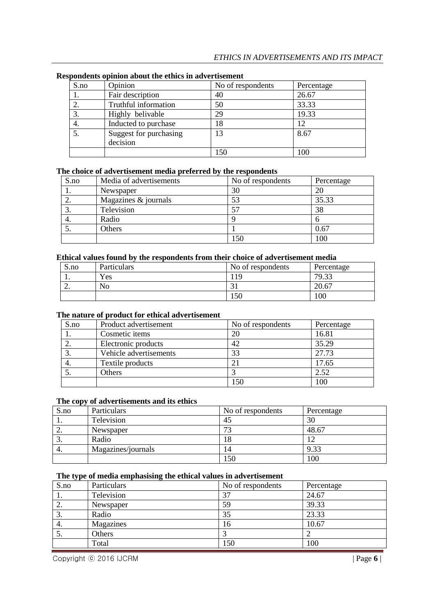| S.no | Opinion                            | No of respondents | Percentage |
|------|------------------------------------|-------------------|------------|
|      | Fair description                   | 40                | 26.67      |
| 2.   | Truthful information               | 50                | 33.33      |
| 3.   | Highly belivable                   | 29                | 19.33      |
| 4.   | Inducted to purchase               | 18                | 12         |
| 5.   | Suggest for purchasing<br>decision | 13                | 8.67       |
|      |                                    | 150               | 100        |

#### **Respondents opinion about the ethics in advertisement**

# **The choice of advertisement media preferred by the respondents**

| S.no | Media of advertisements | No of respondents | Percentage |
|------|-------------------------|-------------------|------------|
| 1.   | Newspaper               | 30                | 20         |
| ۷.   | Magazines & journals    | 53                | 35.33      |
| J.   | Television              | 57                | 38         |
| 4.   | Radio                   |                   |            |
|      | Others                  |                   | 0.67       |
|      |                         | 150               | 100        |

#### **Ethical values found by the respondents from their choice of advertisement media**

| S.no     | Particulars    | No of respondents | Percentage |
|----------|----------------|-------------------|------------|
| . .      | Yes            |                   | 79.33      |
| <u>.</u> | N <sub>0</sub> |                   | 20.67      |
|          |                | 150               | 100        |

#### **The nature of product for ethical advertisement**

| S.no | Product advertisement  | No of respondents | Percentage |
|------|------------------------|-------------------|------------|
|      | Cosmetic items         | 20                | 16.81      |
| ۷.   | Electronic products    | 42                | 35.29      |
|      | Vehicle advertisements | 33                | 27.73      |
| 4.   | Textile products       |                   | 17.65      |
|      | Others                 |                   | 2.52       |
|      |                        | 150               | 100        |

### **The copy of advertisements and its ethics**

| S.no | Particulars        | No of respondents        | Percentage |
|------|--------------------|--------------------------|------------|
|      | Television         | 45                       | 30         |
| ٠.   | Newspaper          | $\overline{\phantom{a}}$ | 48.67      |
| J.   | Radio              | 10.                      |            |
| 4.   | Magazines/journals | 14                       | 9.33       |
|      |                    | .50                      | 100        |

# **The type of media emphasising the ethical values in advertisement**

| S.no | Particulars | No of respondents | Percentage |
|------|-------------|-------------------|------------|
|      | Television  | 37                | 24.67      |
| ۷.   | Newspaper   | 59                | 39.33      |
| Ć.   | Radio       | 35                | 23.33      |
| 4.   | Magazines   | 16                | 10.67      |
| J.   | Others      |                   |            |
|      | Total       | 150               | 100        |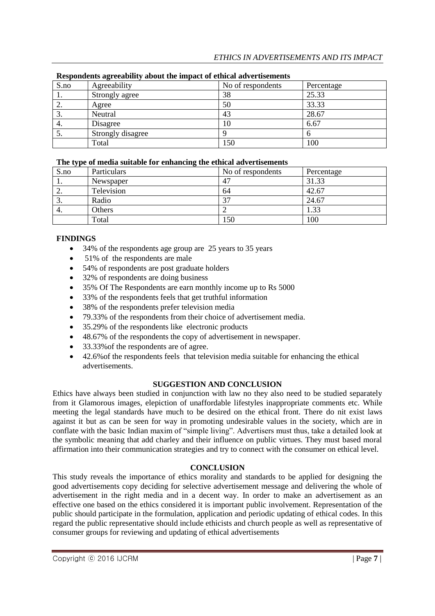| S.no | Agreeability      | No of respondents | Percentage |
|------|-------------------|-------------------|------------|
| 1.   | Strongly agree    | 38                | 25.33      |
| ۷.   | Agree             | 50                | 33.33      |
| J.   | Neutral           | 43                | 28.67      |
| 4.   | Disagree          | 10                | 6.67       |
| C.   | Strongly disagree |                   |            |
|      | Total             | 150               | 100        |

# **Respondents agreeability about the impact of ethical advertisements**

### **The type of media suitable for enhancing the ethical advertisements**

| . .<br>S.no | $\overline{\phantom{a}}$<br>Particulars | No of respondents        | Percentage |
|-------------|-----------------------------------------|--------------------------|------------|
| . .         | Newspaper                               | $4^{\circ}$              | 31.33      |
| ٠.          | Television                              | 64                       | 42.67      |
| J.          | Radio                                   | $\overline{\phantom{a}}$ | 24.67      |
| 4.          | Others                                  |                          | 1.33       |
|             | Total                                   | .50                      | 100        |

# **FINDINGS**

- 34% of the respondents age group are 25 years to 35 years
- 51% of the respondents are male
- 54% of respondents are post graduate holders
- 32% of respondents are doing business
- 35% Of The Respondents are earn monthly income up to Rs 5000
- 33% of the respondents feels that get truthful information
- 38% of the respondents prefer television media
- 79.33% of the respondents from their choice of advertisement media.
- 35.29% of the respondents like electronic products
- 48.67% of the respondents the copy of advertisement in newspaper.
- 33.33%of the respondents are of agree.
- 42.6% of the respondents feels that television media suitable for enhancing the ethical advertisements.

# **SUGGESTION AND CONCLUSION**

Ethics have always been studied in conjunction with law no they also need to be studied separately from it Glamorous images, elepiction of unaffordable lifestyles inappropriate comments etc. While meeting the legal standards have much to be desired on the ethical front. There do nit exist laws against it but as can be seen for way in promoting undesirable values in the society, which are in conflate with the basic Indian maxim of "simple living". Advertisers must thus, take a detailed look at the symbolic meaning that add charley and their influence on public virtues. They must based moral affirmation into their communication strategies and try to connect with the consumer on ethical level.

# **CONCLUSION**

This study reveals the importance of ethics morality and standards to be applied for designing the good advertisements copy deciding for selective advertisement message and delivering the whole of advertisement in the right media and in a decent way. In order to make an advertisement as an effective one based on the ethics considered it is important public involvement. Representation of the public should participate in the formulation, application and periodic updating of ethical codes. In this regard the public representative should include ethicists and church people as well as representative of consumer groups for reviewing and updating of ethical advertisements